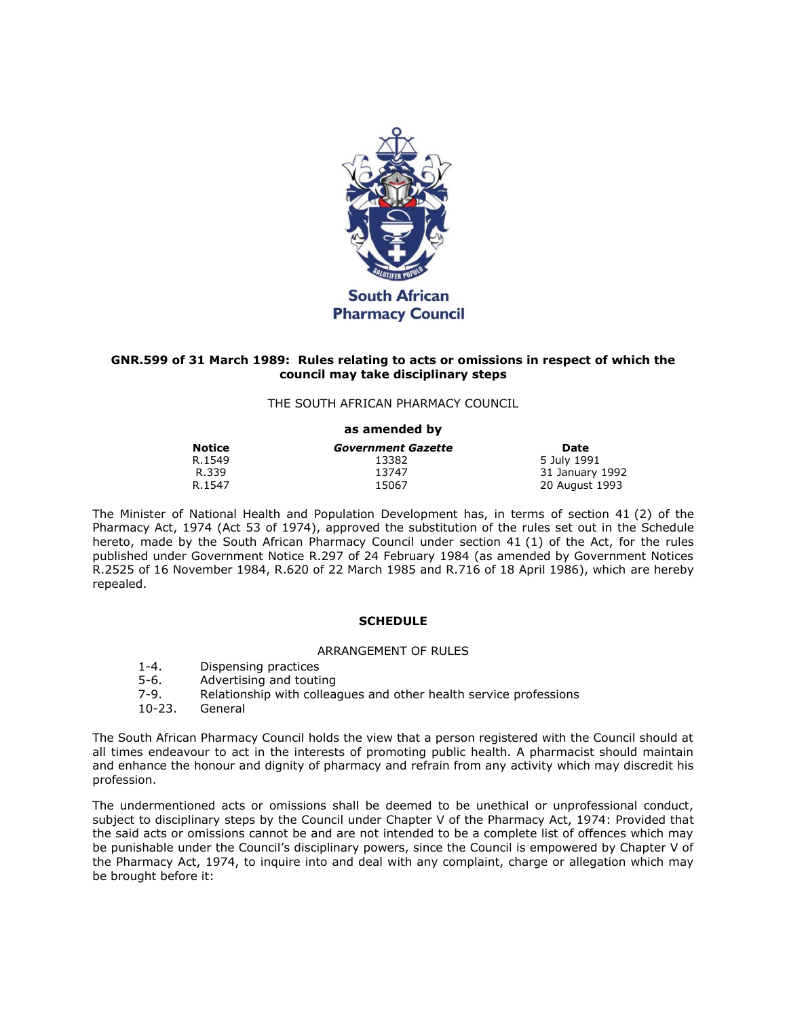

# **GNR.599 of 31 March 1989: Rules relating to acts or omissions in respect of which the council may take disciplinary steps**

### THE SOUTH AFRICAN PHARMACY COUNCIL

#### **as amended by**

| <b>Notice</b> | <b>Government Gazette</b> | Date            |
|---------------|---------------------------|-----------------|
| R.1549        | 13382                     | 5 July 1991     |
| R.339         | 13747                     | 31 January 1992 |
| R.1547        | 15067                     | 20 August 1993  |

The Minister of National Health and Population Development has, in terms of [section 41](http://www.mylexisnexis.co.za/nxt/gateway.dll/jilc/kilc/xjsg/zmsg/0msg/w34h#2) (2) of the Pharmacy Act, 1974 (Act [53 of 1974\)](http://www.mylexisnexis.co.za/nxt/gateway.dll/jilc/kilc/xjsg/zmsg/0msg#0), approved the substitution of the rules set out in [the Schedule](http://www.mylexisnexis.co.za/nxt/gateway.dll/jilc/kilc/xjsg/zmsg/cnsg/t84h/v94h?f=templates$fn=document-frame.htm$3.0$q=$x=$nc=384#1) hereto, made by the South African Pharmacy Council under [section 41](http://www.mylexisnexis.co.za/nxt/gateway.dll/jilc/kilc/xjsg/zmsg/0msg/w34h#1) (1) of the Act, for the rules published under Government Notice R.297 of 24 February 1984 (as amended by Government Notices R.2525 of 16 November 1984, R.620 of 22 March 1985 and R.716 of 18 April 1986), which are hereby repealed.

### **SCHEDULE**

#### ARRANGEMENT OF RULES

- [1-](http://www.mylexisnexis.co.za/nxt/gateway.dll/jilc/kilc/xjsg/zmsg/cnsg/t84h/v94h/w94h#0)[4.](http://www.mylexisnexis.co.za/nxt/gateway.dll/jilc/kilc/xjsg/zmsg/cnsg/t84h/v94h/z94h#0) Dispensing practices
- [5-](http://www.mylexisnexis.co.za/nxt/gateway.dll/jilc/kilc/xjsg/zmsg/cnsg/t84h/v94h/094h#0)[6.](http://www.mylexisnexis.co.za/nxt/gateway.dll/jilc/kilc/xjsg/zmsg/cnsg/t84h/v94h/194h#0) Advertising and touting
- [7-](http://www.mylexisnexis.co.za/nxt/gateway.dll/jilc/kilc/xjsg/zmsg/cnsg/t84h/v94h/294h#0)[9.](http://www.mylexisnexis.co.za/nxt/gateway.dll/jilc/kilc/xjsg/zmsg/cnsg/t84h/v94h/494h#0) Relationship with colleagues and other health service professions
- [10](http://www.mylexisnexis.co.za/nxt/gateway.dll/jilc/kilc/xjsg/zmsg/cnsg/t84h/v94h/594h#0)[-23.](http://www.mylexisnexis.co.za/nxt/gateway.dll/jilc/kilc/xjsg/zmsg/cnsg/t84h/v94h/ia5h#0) General

The South African Pharmacy Council holds the view that a person registered with the Council should at all times endeavour to act in the interests of promoting public health. A pharmacist should maintain and enhance the honour and dignity of pharmacy and refrain from any activity which may discredit his profession.

The undermentioned acts or omissions shall be deemed to be unethical or unprofessional conduct, subject to disciplinary steps by the Council under Chapter V of the Pharmacy Act, 1974: Provided that the said acts or omissions cannot be and are not intended to be a complete list of offences which may be punishable under the Council's disciplinary powers, since the Council is empowered by Chapter V of the Pharmacy Act, 1974, to inquire into and deal with any complaint, charge or allegation which may be brought before it: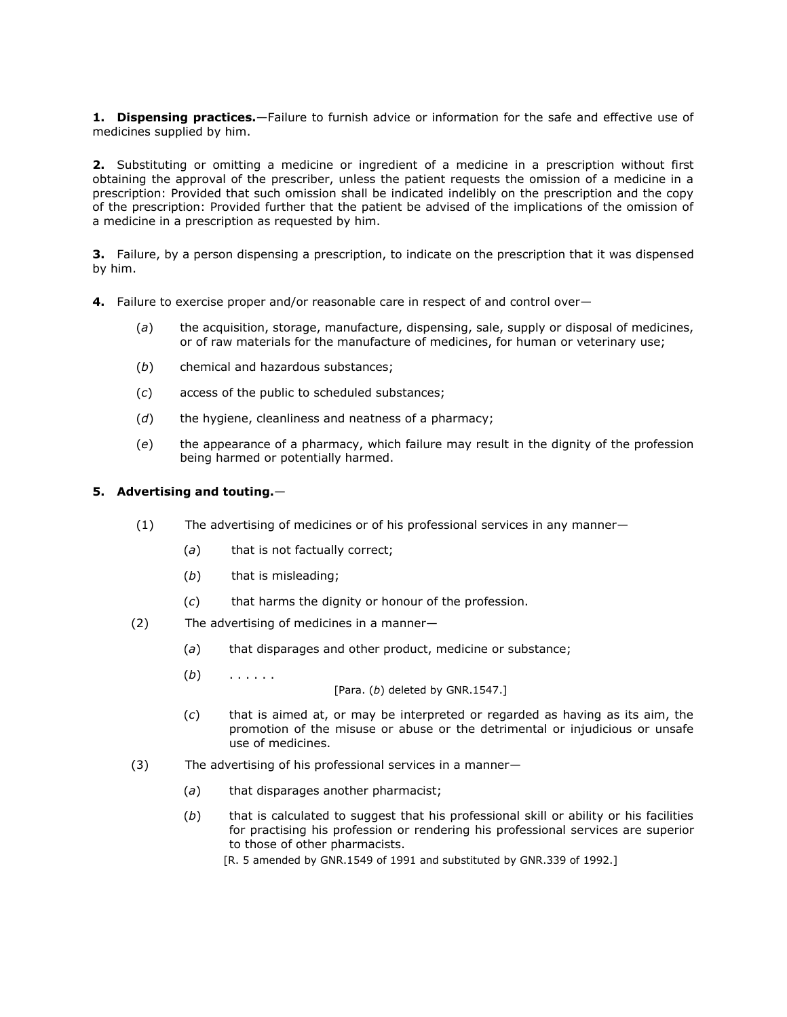**1. Dispensing practices.**—Failure to furnish advice or information for the safe and effective use of medicines supplied by him.

**2.** Substituting or omitting a medicine or ingredient of a medicine in a prescription without first obtaining the approval of the prescriber, unless the patient requests the omission of a medicine in a prescription: Provided that such omission shall be indicated indelibly on the prescription and the copy of the prescription: Provided further that the patient be advised of the implications of the omission of a medicine in a prescription as requested by him.

**3.** Failure, by a person dispensing a prescription, to indicate on the prescription that it was dispensed by him.

- **4.** Failure to exercise proper and/or reasonable care in respect of and control over—
	- (*a*) the acquisition, storage, manufacture, dispensing, sale, supply or disposal of medicines, or of raw materials for the manufacture of medicines, for human or veterinary use;
	- (*b*) chemical and hazardous substances;
	- (*c*) access of the public to scheduled substances;
	- (*d*) the hygiene, cleanliness and neatness of a pharmacy;
	- (*e*) the appearance of a pharmacy, which failure may result in the dignity of the profession being harmed or potentially harmed.

# **5. Advertising and touting.**—

- (1) The advertising of medicines or of his professional services in any manner—
	- (*a*) that is not factually correct;
	- (*b*) that is misleading;
	- (*c*) that harms the dignity or honour of the profession.
- (2) The advertising of medicines in a manner—
	- (*a*) that disparages and other product, medicine or substance;
	- (*b*) . . . . . .

[\[Para. \(](http://www.mylexisnexis.co.za/nxt/gateway.dll/jilc/kilc/xjsg/zmsg/cnsg/t84h/v94h/094h?f=templates$fn=document-frame.htm$3.0$q=$x=$nc=3015#7)*b*) deleted by GNR.1547.]

- (*c*) that is aimed at, or may be interpreted or regarded as having as its aim, the promotion of the misuse or abuse or the detrimental or injudicious or unsafe use of medicines.
- (3) The advertising of his professional services in a manner—
	- (*a*) that disparages another pharmacist;
	- (*b*) that is calculated to suggest that his professional skill or ability or his facilities for practising his profession or rendering his professional services are superior to those of other pharmacists.

[\[R. 5](http://www.mylexisnexis.co.za/nxt/gateway.dll/jilc/kilc/xjsg/zmsg/cnsg/t84h/v94h/094h?f=templates$fn=document-frame.htm$3.0$q=$x=$nc=3015#0) amended by GNR.1549 of 1991 and substituted by GNR.339 of 1992.]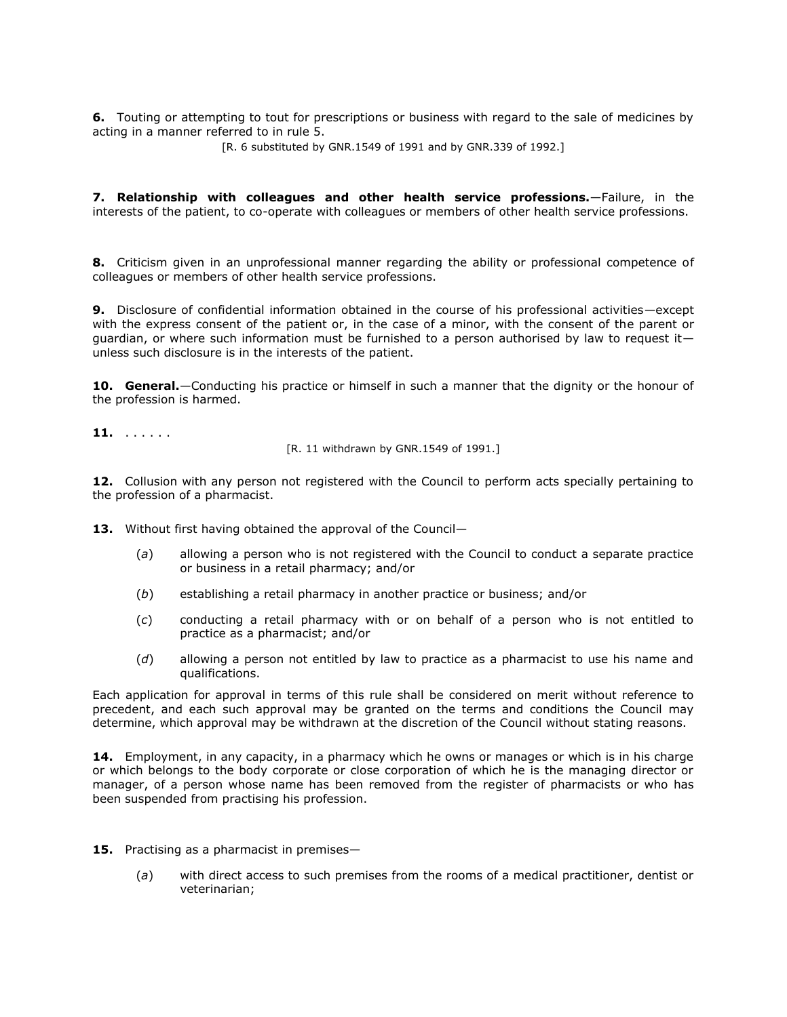**6.** Touting or attempting to tout for prescriptions or business with regard to the sale of medicines by acting in a manner referred to in rule 5.

[\[R. 6](http://www.mylexisnexis.co.za/nxt/gateway.dll/jilc/kilc/xjsg/zmsg/cnsg/t84h/v94h/194h?f=templates$fn=document-frame.htm$3.0$q=$x=$nc=9270#0) substituted by GNR.1549 of 1991 and by GNR.339 of 1992.]

**7. Relationship with colleagues and other health service professions.**—Failure, in the interests of the patient, to co-operate with colleagues or members of other health service professions.

**8.** Criticism given in an unprofessional manner regarding the ability or professional competence of colleagues or members of other health service professions.

**9.** Disclosure of confidential information obtained in the course of his professional activities—except with the express consent of the patient or, in the case of a minor, with the consent of the parent or guardian, or where such information must be furnished to a person authorised by law to request it unless such disclosure is in the interests of the patient.

**10. General.**—Conducting his practice or himself in such a manner that the dignity or the honour of the profession is harmed.

**11.** . . . . . .

[\[R. 11](http://www.mylexisnexis.co.za/nxt/gateway.dll/jilc/kilc/xjsg/zmsg/cnsg/t84h/v94h/694h?f=templates$fn=document-frame.htm$3.0$q=$x=$nc=9757#0) withdrawn by GNR.1549 of 1991.]

**12.** Collusion with any person not registered with the Council to perform acts specially pertaining to the profession of a pharmacist.

- 13. Without first having obtained the approval of the Council-
	- (*a*) allowing a person who is not registered with the Council to conduct a separate practice or business in a retail pharmacy; and/or
	- (*b*) establishing a retail pharmacy in another practice or business; and/or
	- (*c*) conducting a retail pharmacy with or on behalf of a person who is not entitled to practice as a pharmacist; and/or
	- (*d*) allowing a person not entitled by law to practice as a pharmacist to use his name and qualifications.

Each application for approval in terms of this rule shall be considered on merit without reference to precedent, and each such approval may be granted on the terms and conditions the Council may determine, which approval may be withdrawn at the discretion of the Council without stating reasons.

**14.** Employment, in any capacity, in a pharmacy which he owns or manages or which is in his charge or which belongs to the body corporate or close corporation of which he is the managing director or manager, of a person whose name has been removed from the register of pharmacists or who has been suspended from practising his profession.

- **15.** Practising as a pharmacist in premises—
	- (*a*) with direct access to such premises from the rooms of a medical practitioner, dentist or veterinarian;